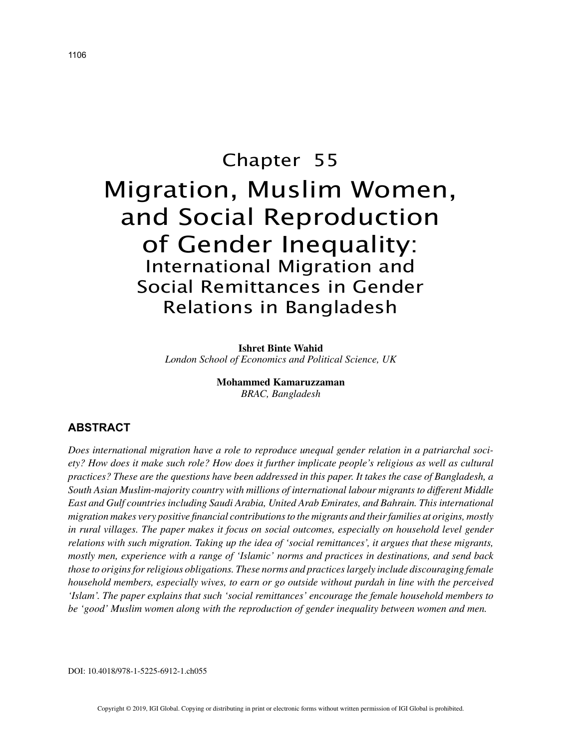# Chapter 55 Migration, Muslim Women, and Social Reproduction of Gender Inequality: International Migration and Social Remittances in Gender Relations in Bangladesh

**Ishret Binte Wahid** *London School of Economics and Political Science, UK*

> **Mohammed Kamaruzzaman** *BRAC, Bangladesh*

# **ABSTRACT**

*Does international migration have a role to reproduce unequal gender relation in a patriarchal society? How does it make such role? How does it further implicate people's religious as well as cultural practices? These are the questions have been addressed in this paper. It takes the case of Bangladesh, a South Asian Muslim-majority country with millions of international labour migrants to different Middle East and Gulf countries including Saudi Arabia, United Arab Emirates, and Bahrain. This international migration makes very positive financial contributions to the migrants and their families at origins, mostly in rural villages. The paper makes it focus on social outcomes, especially on household level gender relations with such migration. Taking up the idea of 'social remittances', it argues that these migrants, mostly men, experience with a range of 'Islamic' norms and practices in destinations, and send back those to origins for religious obligations. These norms and practices largely include discouraging female household members, especially wives, to earn or go outside without purdah in line with the perceived 'Islam'. The paper explains that such 'social remittances' encourage the female household members to be 'good' Muslim women along with the reproduction of gender inequality between women and men.*

DOI: 10.4018/978-1-5225-6912-1.ch055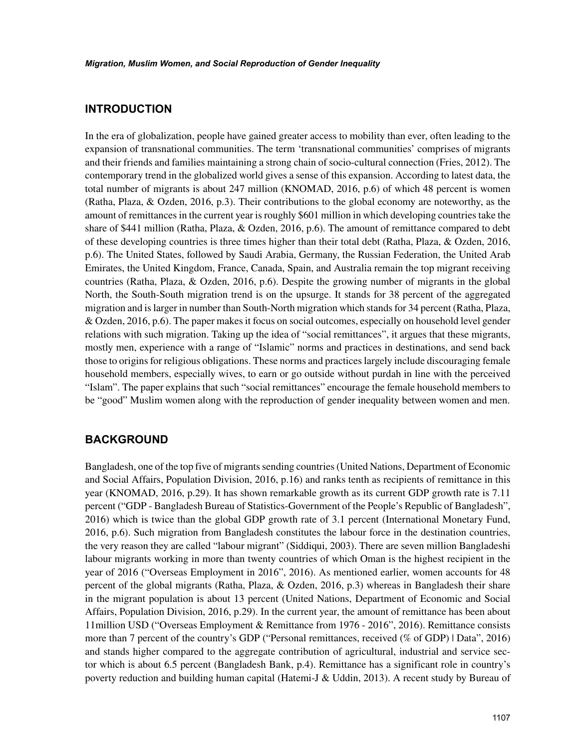# **INTRODUCTION**

In the era of globalization, people have gained greater access to mobility than ever, often leading to the expansion of transnational communities. The term 'transnational communities' comprises of migrants and their friends and families maintaining a strong chain of socio-cultural connection (Fries, 2012). The contemporary trend in the globalized world gives a sense of this expansion. According to latest data, the total number of migrants is about 247 million (KNOMAD, 2016, p.6) of which 48 percent is women (Ratha, Plaza, & Ozden, 2016, p.3). Their contributions to the global economy are noteworthy, as the amount of remittances in the current year is roughly \$601 million in which developing countries take the share of \$441 million (Ratha, Plaza, & Ozden, 2016, p.6). The amount of remittance compared to debt of these developing countries is three times higher than their total debt (Ratha, Plaza, & Ozden, 2016, p.6). The United States, followed by Saudi Arabia, Germany, the Russian Federation, the United Arab Emirates, the United Kingdom, France, Canada, Spain, and Australia remain the top migrant receiving countries (Ratha, Plaza, & Ozden, 2016, p.6). Despite the growing number of migrants in the global North, the South-South migration trend is on the upsurge. It stands for 38 percent of the aggregated migration and is larger in number than South-North migration which stands for 34 percent (Ratha, Plaza, & Ozden, 2016, p.6). The paper makes it focus on social outcomes, especially on household level gender relations with such migration. Taking up the idea of "social remittances", it argues that these migrants, mostly men, experience with a range of "Islamic" norms and practices in destinations, and send back those to origins for religious obligations. These norms and practices largely include discouraging female household members, especially wives, to earn or go outside without purdah in line with the perceived "Islam". The paper explains that such "social remittances" encourage the female household members to be "good" Muslim women along with the reproduction of gender inequality between women and men.

#### **BACKGROUND**

Bangladesh, one of the top five of migrants sending countries (United Nations, Department of Economic and Social Affairs, Population Division, 2016, p.16) and ranks tenth as recipients of remittance in this year (KNOMAD, 2016, p.29). It has shown remarkable growth as its current GDP growth rate is 7.11 percent ("GDP - Bangladesh Bureau of Statistics-Government of the People's Republic of Bangladesh", 2016) which is twice than the global GDP growth rate of 3.1 percent (International Monetary Fund, 2016, p.6). Such migration from Bangladesh constitutes the labour force in the destination countries, the very reason they are called "labour migrant" (Siddiqui, 2003). There are seven million Bangladeshi labour migrants working in more than twenty countries of which Oman is the highest recipient in the year of 2016 ("Overseas Employment in 2016", 2016). As mentioned earlier, women accounts for 48 percent of the global migrants (Ratha, Plaza, & Ozden, 2016, p.3) whereas in Bangladesh their share in the migrant population is about 13 percent (United Nations, Department of Economic and Social Affairs, Population Division, 2016, p.29). In the current year, the amount of remittance has been about 11million USD ("Overseas Employment & Remittance from 1976 - 2016", 2016). Remittance consists more than 7 percent of the country's GDP ("Personal remittances, received (% of GDP) | Data", 2016) and stands higher compared to the aggregate contribution of agricultural, industrial and service sector which is about 6.5 percent (Bangladesh Bank, p.4). Remittance has a significant role in country's poverty reduction and building human capital (Hatemi-J & Uddin, 2013). A recent study by Bureau of